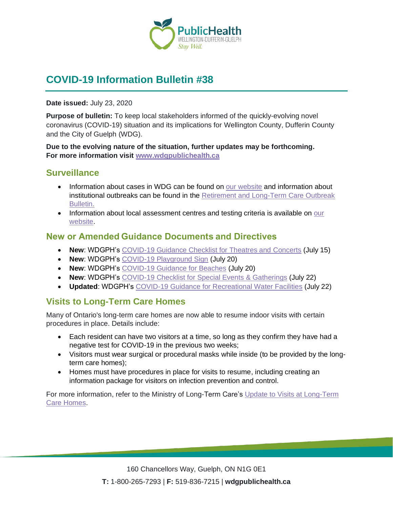

# **COVID-19 Information Bulletin #38**

#### **Date issued:** July 23, 2020

**Purpose of bulletin:** To keep local stakeholders informed of the quickly-evolving novel coronavirus (COVID-19) situation and its implications for Wellington County, Dufferin County and the City of Guelph (WDG).

**Due to the evolving nature of the situation, further updates may be forthcoming. For more information visit [www.wdgpublichealth.ca](http://www.wdgpublichealth.ca/)**

#### **Surveillance**

- Information about cases in WDG can be found on [our website](https://wdgpublichealth.ca/your-health/covid-19-information-public/status-cases-wdg) and information about institutional outbreaks can be found in the [Retirement and Long-Term Care Outbreak](https://wdgpublichealth.ca/node/1542)  [Bulletin.](https://wdgpublichealth.ca/node/1542)
- Information about local assessment centres and testing criteria is available on our [website.](https://www.wdgpublichealth.ca/your-health/covid-19-information-public/assessment-centres-wdg)

#### **New or Amended Guidance Documents and Directives**

- **New**: WDGPH's COVID-19 [Guidance Checklist for Theatres and](https://www.wdgpublichealth.ca/sites/default/files/wdgph_covid-19_guidance_checklist_for_theatres_concerts.pdf) Concerts (July 15)
- **New**: WDGPH's [COVID-19 Playground Sign](https://wdgpublichealth.ca/sites/default/files/wdgph_playground_infographic.pdf) (July 20)
- **New**: WDGPH's [COVID-19 Guidance for Beaches](https://wdgpublichealth.ca/sites/default/files/wdgph_covid-19_guidance_for_public_beaches.pdf) (July 20)
- **New**: WDGPH's [COVID-19 Checklist for Special Events](https://www.wdgpublichealth.ca/sites/default/files/wdgph_covid-19_guidance_checklist_for_special_events.pdf) & Gatherings (July 22)
- **Updated**: WDGPH's [COVID-19 Guidance for Recreational Water Facilities](https://www.wdgpublichealth.ca/sites/default/files/wdgph_recreational_water_guidance.pdf) (July 22)

#### **Visits to Long-Term Care Homes**

Many of Ontario's long-term care homes are now able to resume indoor visits with certain procedures in place. Details include:

- Each resident can have two visitors at a time, so long as they confirm they have had a negative test for COVID-19 in the previous two weeks;
- Visitors must wear surgical or procedural masks while inside (to be provided by the longterm care homes);
- Homes must have procedures in place for visits to resume, including creating an information package for visitors on infection prevention and control.

For more information, refer to the Ministry of Long-Term Care's [Update to Visits at Long-Term](http://www.health.gov.on.ca/en/pro/programs/ltc/docs/covid-19/mltc_resuming_ltc_home_visits_20200715.pdf)  [Care Homes.](http://www.health.gov.on.ca/en/pro/programs/ltc/docs/covid-19/mltc_resuming_ltc_home_visits_20200715.pdf)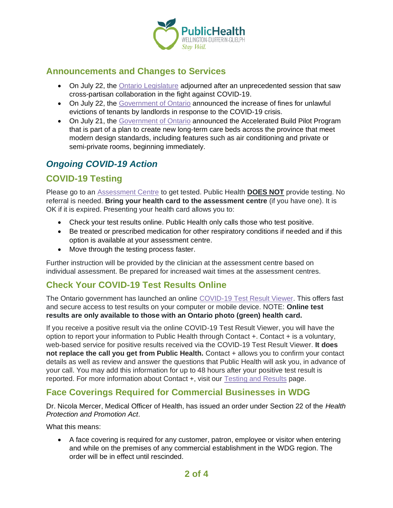

## **Announcements and Changes to Services**

- On July 22, the [Ontario Legislature](https://news.ontario.ca/opo/en/2020/07/ontario-legislature-adjourns-after-significant-sitting-in-response-to-covid-19.html) adjourned after an unprecedented session that saw cross-partisan collaboration in the fight against COVID-19.
- On July 22, the [Government of Ontario](https://news.ontario.ca/mma/en/2020/07/ontario-strengthens-protections-for-tenants.html) announced the increase of fines for unlawful evictions of tenants by landlords in response to the COVID-19 crisis.
- On July 21, the [Government of Ontario](https://news.ontario.ca/opo/en/2020/07/ontario-unveils-new-innovative-approach-to-building-long-term-care-homes-faster.html) announced the Accelerated Build Pilot Program that is part of a plan to create new long-term care beds across the province that meet modern design standards, including features such as air conditioning and private or semi-private rooms, beginning immediately.

## *Ongoing COVID-19 Action*

## **COVID-19 Testing**

Please go to an [Assessment Centre](https://wdgpublichealth.ca/your-health/covid-19-information-public/assessment-centres-wdg) to get tested. Public Health **DOES NOT** provide testing. No referral is needed. **Bring your health card to the assessment centre** (if you have one). It is OK if it is expired. Presenting your health card allows you to:

- Check your test results online. Public Health only calls those who test positive.
- Be treated or prescribed medication for other respiratory conditions if needed and if this option is available at your assessment centre.
- Move through the testing process faster.

Further instruction will be provided by the clinician at the assessment centre based on individual assessment. Be prepared for increased wait times at the assessment centres.

#### **Check Your COVID-19 Test Results Online**

The Ontario government has launched an online [COVID-19 Test Result Viewer.](https://covid19results.ehealthontario.ca:4443/agree) This offers fast and secure access to test results on your computer or mobile device. NOTE: **Online test results are only available to those with an Ontario photo (green) health card.**

If you receive a positive result via the online COVID-19 Test Result Viewer, you will have the option to report your information to Public Health through Contact +. Contact + is a voluntary, web-based service for positive results received via the COVID-19 Test Result Viewer. **It does not replace the call you get from Public Health.** Contact + allows you to confirm your contact details as well as review and answer the questions that Public Health will ask you, in advance of your call. You may add this information for up to 48 hours after your positive test result is reported. For more information about Contact +, visit our [Testing and Results](https://www.wdgpublichealth.ca/your-health/covid-19-information-public/testing-and-results) page.

#### **Face Coverings Required for Commercial Businesses in WDG**

Dr. Nicola Mercer, Medical Officer of Health, has issued an order under Section 22 of the *Health Protection and Promotion Act*.

What this means:

• A face covering is required for any customer, patron, employee or visitor when entering and while on the premises of any commercial establishment in the WDG region. The order will be in effect until rescinded.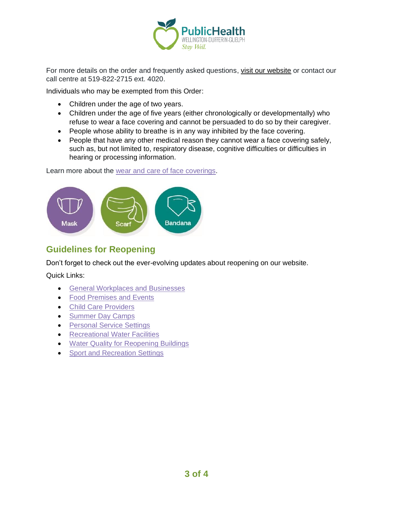

For more details on the order and frequently asked questions, [visit our website](https://www.wdgpublichealth.ca/your-health/covid-19-information-public/face-coverings-class-order-and-faqs) or contact our call centre at 519-822-2715 ext. 4020.

Individuals who may be exempted from this Order:

- Children under the age of two years.
- Children under the age of five years (either chronologically or developmentally) who refuse to wear a face covering and cannot be persuaded to do so by their caregiver.
- People whose ability to breathe is in any way inhibited by the face covering.
- People that have any other medical reason they cannot wear a face covering safely, such as, but not limited to, respiratory disease, cognitive difficulties or difficulties in hearing or processing information.

Learn more about the [wear and care of face coverings.](https://www.wdgpublichealth.ca/your-health/covid-19-information-public/face-coverings-class-order-and-faqs/wear-and-care-face)



## **Guidelines for Reopening**

Don't forget to check out the ever-evolving updates about reopening on our website.

Quick Links:

- [General Workplaces and Businesses](https://www.wdgpublichealth.ca/your-health/covid-19-information-workplaces-and-living-spaces/workplaces-and-businesses)
- [Food Premises and Events](https://wdgpublichealth.ca/your-health/covid-19-information-workplaces-and-living-spaces/food-premises-and-events)
- [Child Care Providers](https://www.wdgpublichealth.ca/your-health/covid-19-information-workplaces-and-living-spaces/child-care-providers)
- [Summer Day Camps](https://www.wdgpublichealth.ca/your-health/covid-19-information-workplaces-and-living-spaces/summer-day-camp-providers)
- [Personal Service Settings](https://www.wdgpublichealth.ca/your-health/covid-19-information-workplaces-and-living-spaces/personal-service-settings)
- Recreational [Water Facilities](https://www.wdgpublichealth.ca/your-health/covid-19-information-workplaces-and-living-spaces/recreational-water-facilities)
- [Water Quality for Reopening Buildings](https://wdgpublichealth.ca/your-health/covid-19-information-workplaces-and-living-spaces/water-quality-reopening-buildings)
- [Sport and Recreation Settings](https://wdgpublichealth.ca/your-health/covid-19-information-workplaces-and-living-spaces/sport-and-recreation-settings)